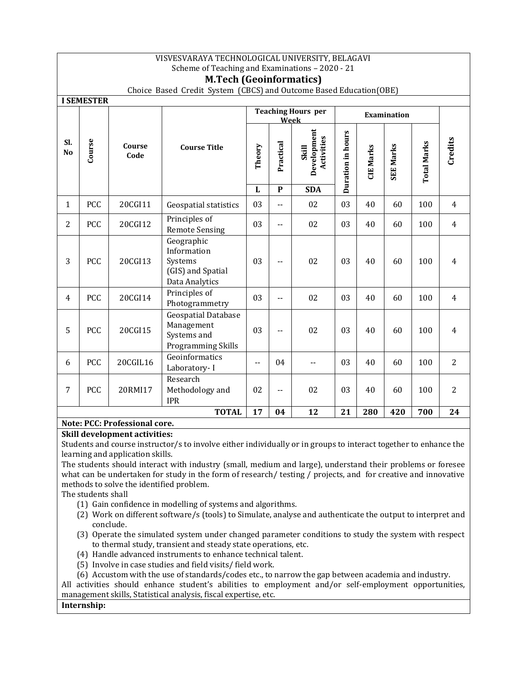|                | VISVESVARAYA TECHNOLOGICAL UNIVERSITY, BELAGAVI<br>Scheme of Teaching and Examinations - 2020 - 21                                     |                |                                                                               |                                   |             |                                    |                   |                  |                  |                    |                |
|----------------|----------------------------------------------------------------------------------------------------------------------------------------|----------------|-------------------------------------------------------------------------------|-----------------------------------|-------------|------------------------------------|-------------------|------------------|------------------|--------------------|----------------|
|                | <b>M.Tech (Geoinformatics)</b><br>Choice Based Credit System (CBCS) and Outcome Based Education(OBE)                                   |                |                                                                               |                                   |             |                                    |                   |                  |                  |                    |                |
|                | <b>I SEMESTER</b>                                                                                                                      |                |                                                                               |                                   |             |                                    |                   |                  |                  |                    |                |
|                |                                                                                                                                        |                |                                                                               | <b>Teaching Hours</b> per<br>Week |             | Examination                        |                   |                  |                  |                    |                |
| SI.<br>No      | Course                                                                                                                                 | Course<br>Code | <b>Course Title</b>                                                           | Theory                            | Practical   | Development<br>Activities<br>Skill | Duration in hours | <b>CIE Marks</b> | <b>SEE Marks</b> | <b>Total Marks</b> | Credits        |
|                |                                                                                                                                        |                |                                                                               | ${\bf L}$                         | $\mathbf P$ | <b>SDA</b>                         |                   |                  |                  |                    |                |
| 1              | PCC                                                                                                                                    | 20CGI11        | Geospatial statistics                                                         | 03                                | --          | 02                                 | 03                | 40               | 60               | 100                | 4              |
| $\overline{2}$ | PCC                                                                                                                                    | 20CGI12        | Principles of<br><b>Remote Sensing</b>                                        | 03                                | --          | 02                                 | 03                | 40               | 60               | 100                | $\overline{4}$ |
| 3              | PCC                                                                                                                                    | 20CGI13        | Geographic<br>Information<br>Systems<br>(GIS) and Spatial<br>Data Analytics   | 03                                | --          | 02                                 | 03                | 40               | 60               | 100                | $\overline{4}$ |
| $\overline{4}$ | PCC                                                                                                                                    | 20CGI14        | Principles of<br>Photogrammetry                                               | 03                                | $-$         | 02                                 | 03                | 40               | 60               | 100                | $\overline{4}$ |
| 5              | PCC                                                                                                                                    | 20CGI15        | <b>Geospatial Database</b><br>Management<br>Systems and<br>Programming Skills | 03                                | $-$         | 02                                 | 03                | 40               | 60               | 100                | 4              |
| 6              | PCC                                                                                                                                    | 20CGIL16       | Geoinformatics<br>Laboratory-I                                                | Ξ.                                | 04          | $-$                                | 03                | 40               | 60               | 100                | $\overline{2}$ |
| 7              | PCC                                                                                                                                    | 20RMI17        | Research<br>Methodology and<br><b>IPR</b>                                     | 02                                | $-$         | 02                                 | 03                | 40               | 60               | 100                | 2              |
|                | <b>TOTAL</b><br>17<br>04<br>12<br>21<br>280<br>420<br>700<br>24<br>$N = 1$<br>$\mathbf{r}$ and $\mathbf{r}$<br>$\blacksquare$<br>DCC D |                |                                                                               |                                   |             |                                    |                   |                  |                  |                    |                |

#### **Note: PCC: Professional core. Skill development activities:**

Students and course instructor/s to involve either individually or in groups to interact together to enhance the learning and application skills.

The students should interact with industry (small, medium and large), understand their problems or foresee what can be undertaken for study in the form of research/ testing / projects, and for creative and innovative methods to solve the identified problem.

The students shall

- (1) Gain confidence in modelling of systems and algorithms.
- (2) Work on different software/s (tools) to Simulate, analyse and authenticate the output to interpret and conclude.
- (3) Operate the simulated system under changed parameter conditions to study the system with respect to thermal study, transient and steady state operations, etc.
- (4) Handle advanced instruments to enhance technical talent.
- (5) Involve in case studies and field visits/ field work.
- (6) Accustom with the use of standards/codes etc., to narrow the gap between academia and industry.

All activities should enhance student's abilities to employment and/or self-employment opportunities, management skills, Statistical analysis, fiscal expertise, etc.

## **Internship:**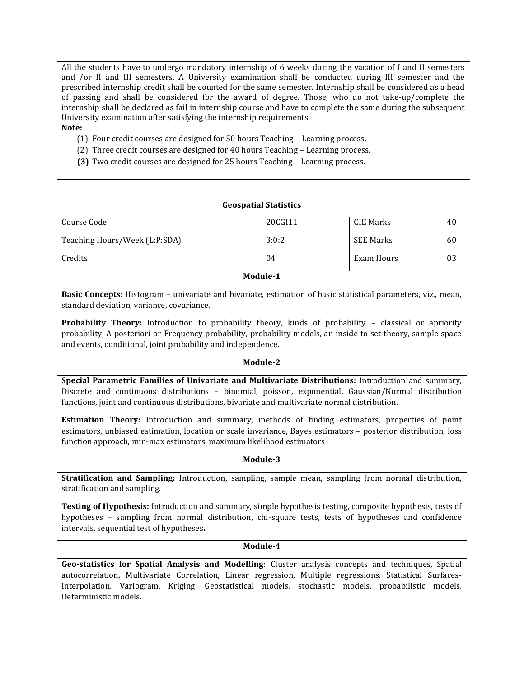All the students have to undergo mandatory internship of 6 weeks during the vacation of I and II semesters and /or II and III semesters. A University examination shall be conducted during III semester and the prescribed internship credit shall be counted for the same semester. Internship shall be considered as a head of passing and shall be considered for the award of degree. Those, who do not take-up/complete the internship shall be declared as fail in internship course and have to complete the same during the subsequent University examination after satisfying the internship requirements.

#### **Note:**

- (1) Four credit courses are designed for 50 hours Teaching Learning process.
- (2) Three credit courses are designed for 40 hours Teaching Learning process.
- **(3)** Two credit courses are designed for 25 hours Teaching Learning process.

| <b>Geospatial Statistics</b>  |         |                  |    |  |
|-------------------------------|---------|------------------|----|--|
| Course Code                   | 20CGI11 | CIE Marks        | 40 |  |
| Teaching Hours/Week (L:P:SDA) | 3:0:2   | <b>SEE Marks</b> | 60 |  |
| Credits                       | 04      | Exam Hours       | 03 |  |
| Module-1                      |         |                  |    |  |

**Basic Concepts:** Histogram – univariate and bivariate, estimation of basic statistical parameters, viz., mean, standard deviation, variance, covariance.

**Probability Theory:** Introduction to probability theory, kinds of probability – classical or apriority probability, A posteriori or Frequency probability, probability models, an inside to set theory, sample space and events, conditional, joint probability and independence.

## **Module-2**

**Special Parametric Families of Univariate and Multivariate Distributions:** Introduction and summary, Discrete and continuous distributions – binomial, poisson, exponential, Gaussian/Normal distribution functions, joint and continuous distributions, bivariate and multivariate normal distribution.

**Estimation Theory:** Introduction and summary, methods of finding estimators, properties of point estimators, unbiased estimation, location or scale invariance, Bayes estimators – posterior distribution, loss function approach, min-max estimators, maximum likelihood estimators

#### **Module-3**

**Stratification and Sampling:** Introduction, sampling, sample mean, sampling from normal distribution, stratification and sampling.

**Testing of Hypothesis:** Introduction and summary, simple hypothesis testing, composite hypothesis, tests of hypotheses – sampling from normal distribution, chi-square tests, tests of hypotheses and confidence intervals, sequential test of hypotheses**.**

#### **Module-4**

**Geo-statistics for Spatial Analysis and Modelling:** Cluster analysis concepts and techniques, Spatial autocorrelation, Multivariate Correlation, Linear regression, Multiple regressions. Statistical Surfaces-Interpolation, Variogram, Kriging. Geostatistical models, stochastic models, probabilistic models, Deterministic models.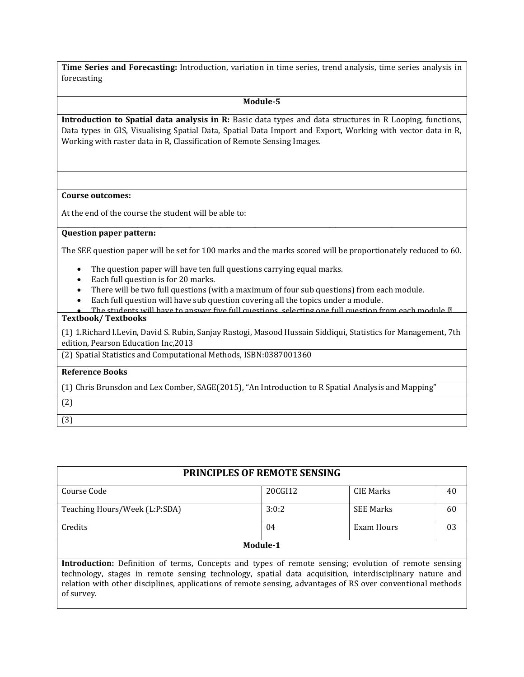**Time Series and Forecasting:** Introduction, variation in time series, trend analysis, time series analysis in forecasting

## **Module-5**

**Introduction to Spatial data analysis in R:** Basic data types and data structures in R Looping, functions, Data types in GIS, Visualising Spatial Data, Spatial Data Import and Export, Working with vector data in R, Working with raster data in R, Classification of Remote Sensing Images.

## **Course outcomes:**

At the end of the course the student will be able to:

## **Question paper pattern:**

The SEE question paper will be set for 100 marks and the marks scored will be proportionately reduced to 60.

- The question paper will have ten full questions carrying equal marks.
- Each full question is for 20 marks.
- There will be two full questions (with a maximum of four sub questions) from each module.
- Each full question will have sub question covering all the topics under a module.
- The students will have to answer five full questions, selecting one full question from each module.*∎* **Textbook/ Textbooks**

(1) 1.Richard I.Levin, David S. Rubin, Sanjay Rastogi, Masood Hussain Siddiqui, Statistics for Management, 7th edition, Pearson Education Inc,2013

(2) Spatial Statistics and Computational Methods, ISBN:0387001360

# **Reference Books**

(1) Chris Brunsdon and Lex Comber, SAGE(2015), "An Introduction to R Spatial Analysis and Mapping"

| M.<br>۰. |  |
|----------|--|

(3)

of survey.

| <b>PRINCIPLES OF REMOTE SENSING</b>                                                                                                                                                                                                                                                                                            |         |                  |    |  |  |
|--------------------------------------------------------------------------------------------------------------------------------------------------------------------------------------------------------------------------------------------------------------------------------------------------------------------------------|---------|------------------|----|--|--|
| Course Code                                                                                                                                                                                                                                                                                                                    | 20CGI12 | <b>CIE Marks</b> | 40 |  |  |
| Teaching Hours/Week (L:P:SDA)                                                                                                                                                                                                                                                                                                  | 3:0:2   | <b>SEE Marks</b> | 60 |  |  |
| Credits                                                                                                                                                                                                                                                                                                                        | 04      | Exam Hours       | 03 |  |  |
| Module-1                                                                                                                                                                                                                                                                                                                       |         |                  |    |  |  |
| Introduction: Definition of terms, Concepts and types of remote sensing; evolution of remote sensing<br>technology, stages in remote sensing technology, spatial data acquisition, interdisciplinary nature and<br>relation with other disciplines, applications of remote sensing, advantages of RS over conventional methods |         |                  |    |  |  |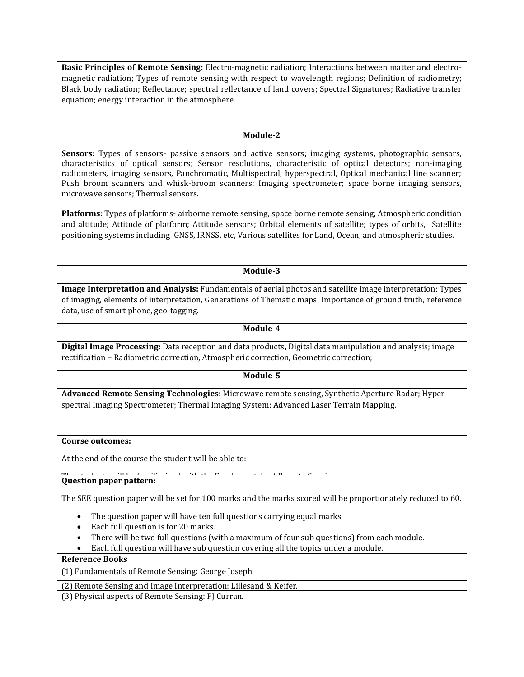**Basic Principles of Remote Sensing:** Electro-magnetic radiation; Interactions between matter and electromagnetic radiation; Types of remote sensing with respect to wavelength regions; Definition of radiometry; Black body radiation; Reflectance; spectral reflectance of land covers; Spectral Signatures; Radiative transfer equation; energy interaction in the atmosphere.

#### **Module-2**

Sensors: Types of sensors- passive sensors and active sensors; imaging systems, photographic sensors, characteristics of optical sensors; Sensor resolutions, characteristic of optical detectors; non-imaging radiometers, imaging sensors, Panchromatic, Multispectral, hyperspectral, Optical mechanical line scanner; Push broom scanners and whisk-broom scanners; Imaging spectrometer; space borne imaging sensors, microwave sensors; Thermal sensors.

**Platforms:** Types of platforms- airborne remote sensing, space borne remote sensing; Atmospheric condition and altitude; Attitude of platform; Attitude sensors; Orbital elements of satellite; types of orbits, Satellite positioning systems including GNSS, IRNSS, etc, Various satellites for Land, Ocean, and atmospheric studies.

## **Module-3**

**Image Interpretation and Analysis:** Fundamentals of aerial photos and satellite image interpretation; Types of imaging, elements of interpretation, Generations of Thematic maps. Importance of ground truth, reference data, use of smart phone, geo-tagging.

#### **Module-4**

**Digital Image Processing:** Data reception and data products**,** Digital data manipulation and analysis; image rectification – Radiometric correction, Atmospheric correction, Geometric correction;

## **Module-5**

**Advanced Remote Sensing Technologies:** Microwave remote sensing, Synthetic Aperture Radar; Hyper spectral Imaging Spectrometer; Thermal Imaging System; Advanced Laser Terrain Mapping.

#### **Course outcomes:**

At the end of the course the student will be able to:

#### Question paper pattern:

The SEE question paper will be set for 100 marks and the marks scored will be proportionately reduced to 60.

- The question paper will have ten full questions carrying equal marks.
- Each full question is for 20 marks.
- There will be two full questions (with a maximum of four sub questions) from each module.
- Each full question will have sub question covering all the topics under a module.

#### **Reference Books**

(1) Fundamentals of Remote Sensing: George Joseph

(2) Remote Sensing and Image Interpretation: Lillesand & Keifer.

(3) Physical aspects of Remote Sensing: PJ Curran.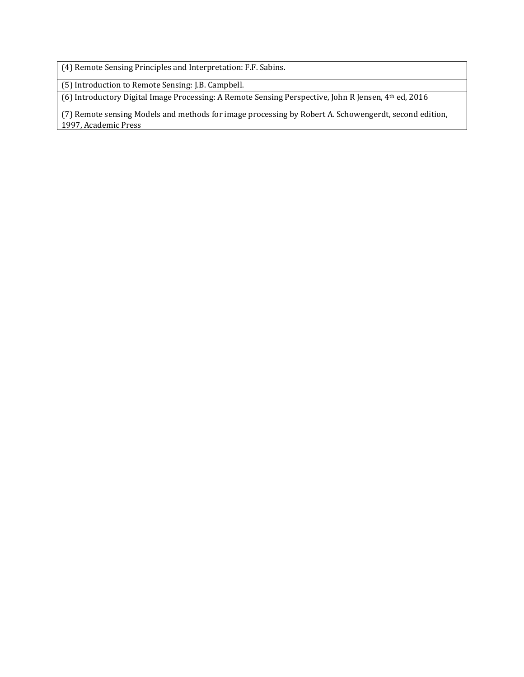(4) Remote Sensing Principles and Interpretation: F.F. Sabins.

(5) Introduction to Remote Sensing: J.B. Campbell.

(6) Introductory Digital Image Processing: A Remote Sensing Perspective, John R Jensen, 4th ed, 2016

(7) Remote sensing Models and methods for image processing by Robert A. Schowengerdt, second edition, 1997, Academic Press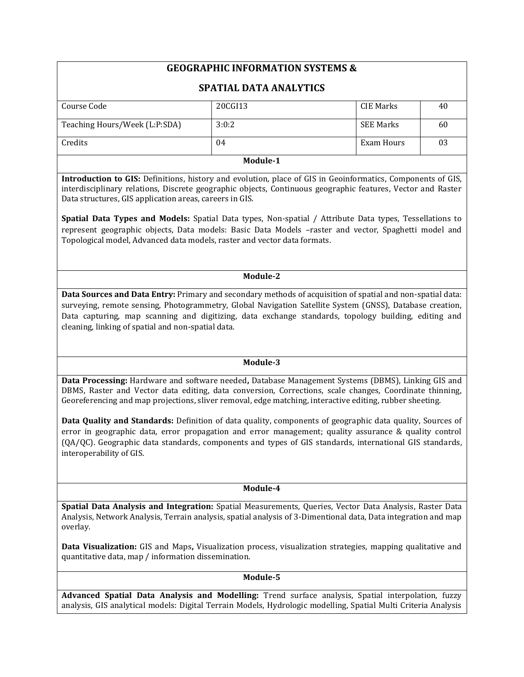# **GEOGRAPHIC INFORMATION SYSTEMS &**

# **SPATIAL DATA ANALYTICS**

| Course Code                   | 20CGI13 | CIE Marks  | 40 |  |  |  |
|-------------------------------|---------|------------|----|--|--|--|
|                               |         |            |    |  |  |  |
| Teaching Hours/Week (L:P:SDA) | 3:0:2   | SEE Marks  | 60 |  |  |  |
|                               |         |            |    |  |  |  |
| Credits                       | 04      | Exam Hours | 03 |  |  |  |
|                               |         |            |    |  |  |  |
| _ _ _ _ _                     |         |            |    |  |  |  |

**Module-1**

**Introduction to GIS:** Definitions, history and evolution, place of GIS in Geoinformatics, Components of GIS, interdisciplinary relations, Discrete geographic objects, Continuous geographic features, Vector and Raster Data structures, GIS application areas, careers in GIS.

**Spatial Data Types and Models:** Spatial Data types, Non-spatial / Attribute Data types, Tessellations to represent geographic objects, Data models: Basic Data Models –raster and vector, Spaghetti model and Topological model, Advanced data models, raster and vector data formats.

## **Module-2**

**Data Sources and Data Entry:** Primary and secondary methods of acquisition of spatial and non-spatial data: surveying, remote sensing, Photogrammetry, Global Navigation Satellite System (GNSS), Database creation, Data capturing, map scanning and digitizing, data exchange standards, topology building, editing and cleaning, linking of spatial and non-spatial data.

## **Module-3**

**Data Processing:** Hardware and software needed**,** Database Management Systems (DBMS), Linking GIS and DBMS, Raster and Vector data editing, data conversion, Corrections, scale changes, Coordinate thinning, Georeferencing and map projections, sliver removal, edge matching, interactive editing, rubber sheeting.

**Data Quality and Standards:** Definition of data quality, components of geographic data quality, Sources of error in geographic data, error propagation and error management; quality assurance & quality control (QA/QC). Geographic data standards, components and types of GIS standards, international GIS standards, interoperability of GIS.

## **Module-4**

**Spatial Data Analysis and Integration:** Spatial Measurements, Queries, Vector Data Analysis, Raster Data Analysis, Network Analysis, Terrain analysis, spatial analysis of 3-Dimentional data, Data integration and map overlay.

**Data Visualization:** GIS and Maps**,** Visualization process, visualization strategies, mapping qualitative and quantitative data, map / information dissemination.

## **Module-5**

**Advanced Spatial Data Analysis and Modelling:** Trend surface analysis, Spatial interpolation, fuzzy analysis, GIS analytical models: Digital Terrain Models, Hydrologic modelling, Spatial Multi Criteria Analysis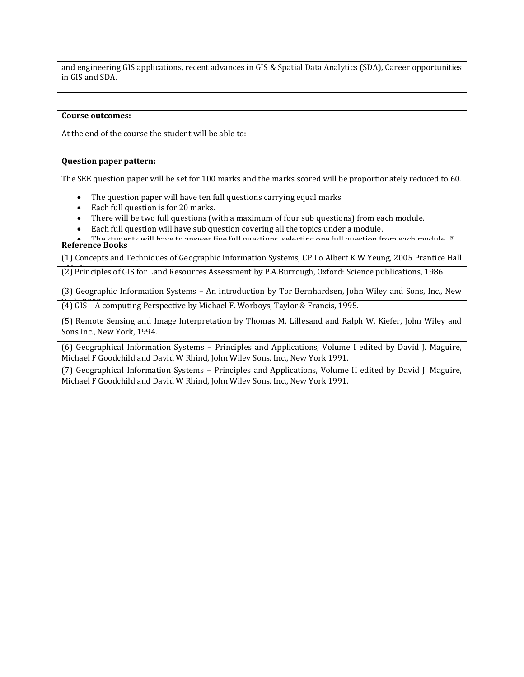and engineering GIS applications, recent advances in GIS & Spatial Data Analytics (SDA), Career opportunities in GIS and SDA.

#### **Course outcomes:**

At the end of the course the student will be able to:

#### $\mathbf{C}$  studients are equipped with the basic of  $\mathbf{C}$ **Question paper pattern:**

The SEE question paper will be set for 100 marks and the marks scored will be proportionately reduced to 60.

- The question paper will have ten full questions carrying equal marks.
- Each full question is for 20 marks.
- There will be two full questions (with a maximum of four sub questions) from each module.
- Each full question will have sub question covering all the topics under a module.

 The students will have to answer five full questions, selecting one full question from each module. *∎* **Reference Books**

(1) Concepts and Techniques of Geographic Information Systems, CP Lo Albert K W Yeung, 2005 Prantice Hall

of India. (2) Principles of GIS for Land Resources Assessment by P.A.Burrough, Oxford: Science publications, 1986.

(3) Geographic Information Systems – An introduction by Tor Bernhardsen, John Wiley and Sons, Inc., New

(4) GIS – A computing Perspective by Michael F. Worboys, Taylor & Francis, 1995.

(5) Remote Sensing and Image Interpretation by Thomas M. Lillesand and Ralph W. Kiefer, John Wiley and Sons Inc., New York, 1994.

(6) Geographical Information Systems – Principles and Applications, Volume I edited by David J. Maguire, Michael F Goodchild and David W Rhind, John Wiley Sons. Inc., New York 1991.

(7) Geographical Information Systems – Principles and Applications, Volume II edited by David J. Maguire, Michael F Goodchild and David W Rhind, John Wiley Sons. Inc., New York 1991.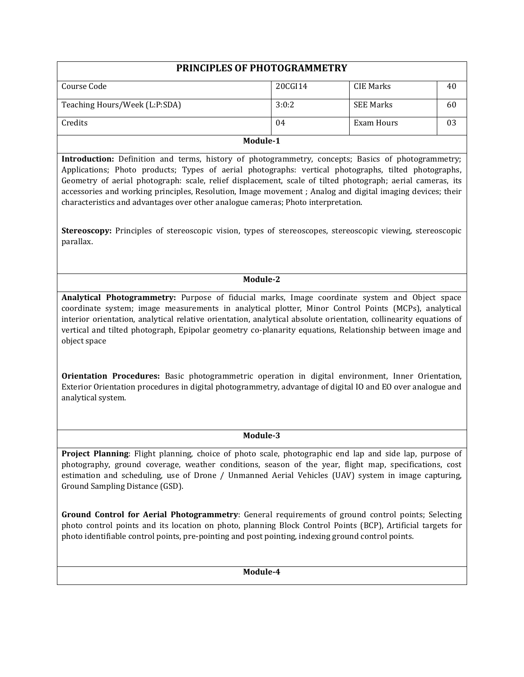| PRINCIPLES OF PHOTOGRAMMETRY                                                                                                                                                                                                                                                                                                                                                                                                                                                                                                                                                                                                                                                                       |         |                   |    |  |  |  |
|----------------------------------------------------------------------------------------------------------------------------------------------------------------------------------------------------------------------------------------------------------------------------------------------------------------------------------------------------------------------------------------------------------------------------------------------------------------------------------------------------------------------------------------------------------------------------------------------------------------------------------------------------------------------------------------------------|---------|-------------------|----|--|--|--|
| Course Code                                                                                                                                                                                                                                                                                                                                                                                                                                                                                                                                                                                                                                                                                        | 20CGI14 | <b>CIE Marks</b>  | 40 |  |  |  |
| Teaching Hours/Week (L:P:SDA)                                                                                                                                                                                                                                                                                                                                                                                                                                                                                                                                                                                                                                                                      | 3:0:2   | <b>SEE Marks</b>  | 60 |  |  |  |
| Credits                                                                                                                                                                                                                                                                                                                                                                                                                                                                                                                                                                                                                                                                                            | 04      | <b>Exam Hours</b> | 03 |  |  |  |
| Module-1                                                                                                                                                                                                                                                                                                                                                                                                                                                                                                                                                                                                                                                                                           |         |                   |    |  |  |  |
| Introduction: Definition and terms, history of photogrammetry, concepts; Basics of photogrammetry;<br>Applications; Photo products; Types of aerial photographs: vertical photographs, tilted photographs,<br>Geometry of aerial photograph: scale, relief displacement, scale of tilted photograph; aerial cameras, its<br>accessories and working principles, Resolution, Image movement; Analog and digital imaging devices; their<br>characteristics and advantages over other analogue cameras; Photo interpretation.<br>Stereoscopy: Principles of stereoscopic vision, types of stereoscopes, stereoscopic viewing, stereoscopic<br>parallax.                                               |         |                   |    |  |  |  |
|                                                                                                                                                                                                                                                                                                                                                                                                                                                                                                                                                                                                                                                                                                    |         |                   |    |  |  |  |
| Module-2                                                                                                                                                                                                                                                                                                                                                                                                                                                                                                                                                                                                                                                                                           |         |                   |    |  |  |  |
| Analytical Photogrammetry: Purpose of fiducial marks, Image coordinate system and Object space<br>coordinate system; image measurements in analytical plotter, Minor Control Points (MCPs), analytical<br>interior orientation, analytical relative orientation, analytical absolute orientation, collinearity equations of<br>vertical and tilted photograph, Epipolar geometry co-planarity equations, Relationship between image and<br>object space<br>Orientation Procedures: Basic photogrammetric operation in digital environment, Inner Orientation,<br>Exterior Orientation procedures in digital photogrammetry, advantage of digital IO and EO over analogue and<br>analytical system. |         |                   |    |  |  |  |
| Module-3                                                                                                                                                                                                                                                                                                                                                                                                                                                                                                                                                                                                                                                                                           |         |                   |    |  |  |  |
| Project Planning: Flight planning, choice of photo scale, photographic end lap and side lap, purpose of<br>photography, ground coverage, weather conditions, season of the year, flight map, specifications, cost<br>estimation and scheduling, use of Drone / Unmanned Aerial Vehicles (UAV) system in image capturing,<br>Ground Sampling Distance (GSD).                                                                                                                                                                                                                                                                                                                                        |         |                   |    |  |  |  |
| Ground Control for Aerial Photogrammetry: General requirements of ground control points; Selecting<br>photo control points and its location on photo, planning Block Control Points (BCP), Artificial targets for<br>photo identifiable control points, pre-pointing and post pointing, indexing ground control points.                                                                                                                                                                                                                                                                                                                                                                            |         |                   |    |  |  |  |
| Module-4                                                                                                                                                                                                                                                                                                                                                                                                                                                                                                                                                                                                                                                                                           |         |                   |    |  |  |  |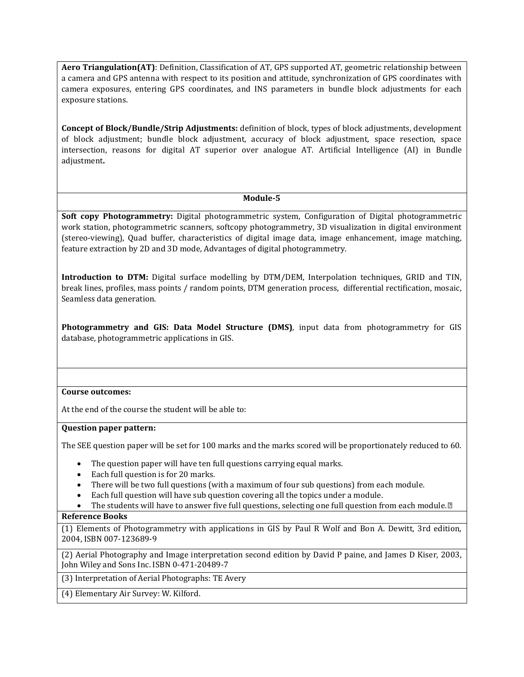**Aero Triangulation(AT)**: Definition, Classification of AT, GPS supported AT, geometric relationship between a camera and GPS antenna with respect to its position and attitude, synchronization of GPS coordinates with camera exposures, entering GPS coordinates, and INS parameters in bundle block adjustments for each exposure stations.

**Concept of Block/Bundle/Strip Adjustments:** definition of block, types of block adjustments, development of block adjustment; bundle block adjustment, accuracy of block adjustment, space resection, space intersection, reasons for digital AT superior over analogue AT. Artificial Intelligence (AI) in Bundle adjustment**.**

## **Module-5**

**Soft copy Photogrammetry:** Digital photogrammetric system, Configuration of Digital photogrammetric work station, photogrammetric scanners, softcopy photogrammetry, 3D visualization in digital environment (stereo-viewing), Quad buffer, characteristics of digital image data, image enhancement, image matching, feature extraction by 2D and 3D mode, Advantages of digital photogrammetry.

**Introduction to DTM:** Digital surface modelling by DTM/DEM, Interpolation techniques, GRID and TIN, break lines, profiles, mass points / random points, DTM generation process, differential rectification, mosaic, Seamless data generation.

**Photogrammetry and GIS: Data Model Structure (DMS)**, input data from photogrammetry for GIS database, photogrammetric applications in GIS.

## **Course outcomes:**

At the end of the course the student will be able to:

## Question paper pattern:

The SEE question paper will be set for 100 marks and the marks scored will be proportionately reduced to 60.

- The question paper will have ten full questions carrying equal marks.
- Each full question is for 20 marks.
- There will be two full questions (with a maximum of four sub questions) from each module.
- Each full question will have sub question covering all the topics under a module.
- The students will have to answer five full questions, selecting one full question from each module.*∎*

## **Reference Books**

(1) Elements of Photogrammetry with applications in GIS by Paul R Wolf and Bon A. Dewitt, 3rd edition, 2004, ISBN 007-123689-9

(2) Aerial Photography and Image interpretation second edition by David P paine, and James D Kiser, 2003, John Wiley and Sons Inc. ISBN 0-471-20489-7

(3) Interpretation of Aerial Photographs: TE Avery

(4) Elementary Air Survey: W. Kilford.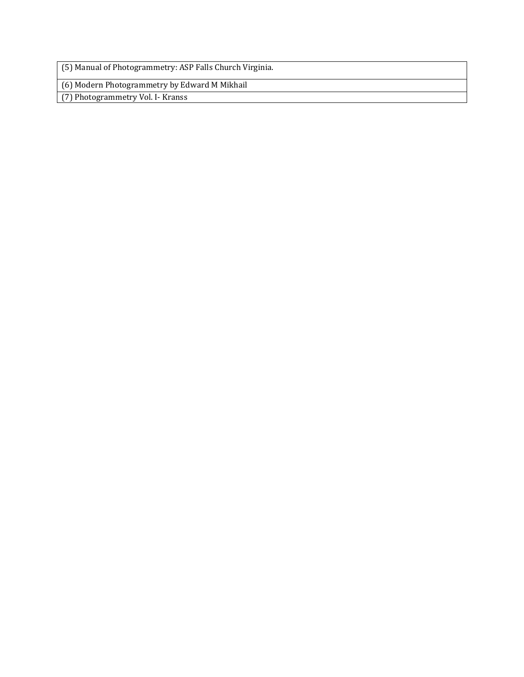(5) Manual of Photogrammetry: ASP Falls Church Virginia.

(6) Modern Photogrammetry by Edward M Mikhail

(7) Photogrammetry Vol. I- Kranss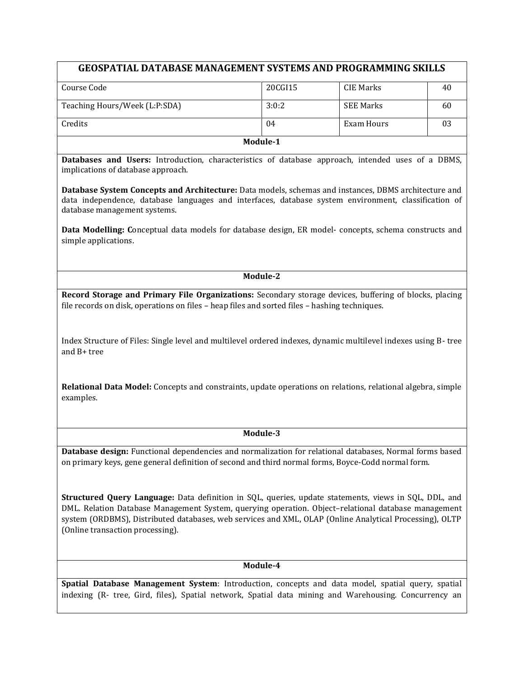| <b>GEOSPATIAL DATABASE MANAGEMENT SYSTEMS AND PROGRAMMING SKILLS</b>                                                                                                                                                                                                                                                                                        |          |                   |    |  |  |
|-------------------------------------------------------------------------------------------------------------------------------------------------------------------------------------------------------------------------------------------------------------------------------------------------------------------------------------------------------------|----------|-------------------|----|--|--|
| Course Code                                                                                                                                                                                                                                                                                                                                                 | 20CGI15  | <b>CIE Marks</b>  | 40 |  |  |
| Teaching Hours/Week (L:P:SDA)                                                                                                                                                                                                                                                                                                                               | 3:0:2    | <b>SEE Marks</b>  | 60 |  |  |
| Credits                                                                                                                                                                                                                                                                                                                                                     | 04       | <b>Exam Hours</b> | 03 |  |  |
|                                                                                                                                                                                                                                                                                                                                                             | Module-1 |                   |    |  |  |
| Databases and Users: Introduction, characteristics of database approach, intended uses of a DBMS,<br>implications of database approach.                                                                                                                                                                                                                     |          |                   |    |  |  |
| Database System Concepts and Architecture: Data models, schemas and instances, DBMS architecture and<br>data independence, database languages and interfaces, database system environment, classification of<br>database management systems.                                                                                                                |          |                   |    |  |  |
| Data Modelling: Conceptual data models for database design, ER model-concepts, schema constructs and<br>simple applications.                                                                                                                                                                                                                                |          |                   |    |  |  |
|                                                                                                                                                                                                                                                                                                                                                             | Module-2 |                   |    |  |  |
| Record Storage and Primary File Organizations: Secondary storage devices, buffering of blocks, placing<br>file records on disk, operations on files – heap files and sorted files – hashing techniques.<br>Index Structure of Files: Single level and multilevel ordered indexes, dynamic multilevel indexes using B-tree<br>and B+ tree                    |          |                   |    |  |  |
| Relational Data Model: Concepts and constraints, update operations on relations, relational algebra, simple<br>examples.                                                                                                                                                                                                                                    |          |                   |    |  |  |
|                                                                                                                                                                                                                                                                                                                                                             | Module-3 |                   |    |  |  |
| Database design: Functional dependencies and normalization for relational databases, Normal forms based<br>on primary keys, gene general definition of second and third normal forms, Boyce-Codd normal form.                                                                                                                                               |          |                   |    |  |  |
| Structured Query Language: Data definition in SQL, queries, update statements, views in SQL, DDL, and<br>DML. Relation Database Management System, querying operation. Object-relational database management<br>system (ORDBMS), Distributed databases, web services and XML, OLAP (Online Analytical Processing), OLTP<br>(Online transaction processing). |          |                   |    |  |  |
| Module-4                                                                                                                                                                                                                                                                                                                                                    |          |                   |    |  |  |

**Spatial Database Management System**: Introduction, concepts and data model, spatial query, spatial indexing (R- tree, Gird, files), Spatial network, Spatial data mining and Warehousing. Concurrency an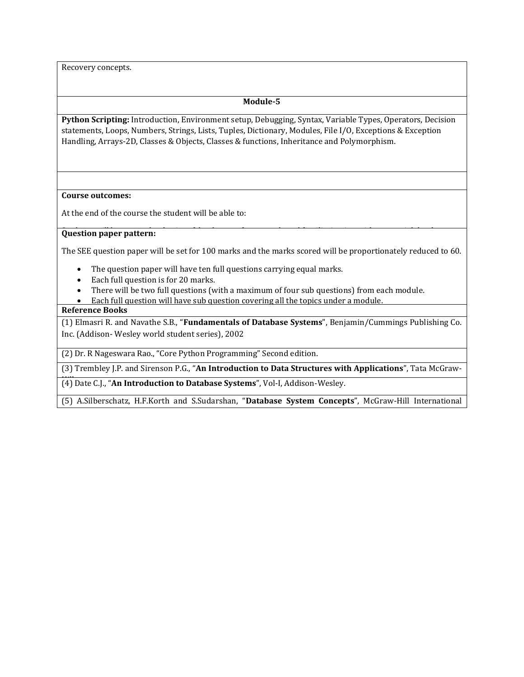Recovery concepts.

## **Module-5**

**Python Scripting:** Introduction, Environment setup, Debugging, Syntax, Variable Types, Operators, Decision statements, Loops, Numbers, Strings, Lists, Tuples, Dictionary, Modules, File I/O, Exceptions & Exception Handling, Arrays-2D, Classes & Objects, Classes & functions, Inheritance and Polymorphism.

#### **Course outcomes:**

At the end of the course the student will be able to:

#### Students will be exposed to basics of database, software tools and familiarization with geospatial database **Question paper pattern:** creation.

The SEE question paper will be set for 100 marks and the marks scored will be proportionately reduced to 60.

- The question paper will have ten full questions carrying equal marks.
- Each full question is for 20 marks.
- There will be two full questions (with a maximum of four sub questions) from each module.
- Each full question will have sub question covering all the topics under a module.

# **Reference Books**

(1) Elmasri R. and Navathe S.B., "**Fundamentals of Database Systems**", Benjamin/Cummings Publishing Co. Inc. (Addison- Wesley world student series), 2002

(2) Dr. R Nageswara Rao., "Core Python Programming" Second edition.

(3) Trembley J.P. and Sirenson P.G., "**An Introduction to Data Structures with Applications**", Tata McGraw-

(4) Date C.J., "An Introduction to Database Systems", Vol-I, Addison-Wesley.

(5) A.Silberschatz, H.F.Korth and S.Sudarshan, "**Database System Concepts**", McGraw-Hill International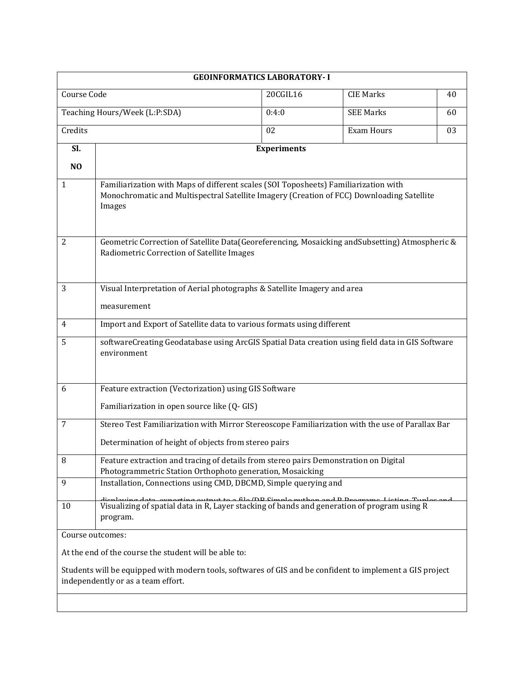|                                                                                                                                                 | <b>GEOINFORMATICS LABORATORY-I</b>                                                                                                                                                         |                    |                   |    |  |  |  |
|-------------------------------------------------------------------------------------------------------------------------------------------------|--------------------------------------------------------------------------------------------------------------------------------------------------------------------------------------------|--------------------|-------------------|----|--|--|--|
| Course Code<br>20CGIL16<br><b>CIE Marks</b>                                                                                                     |                                                                                                                                                                                            |                    |                   |    |  |  |  |
| Teaching Hours/Week (L:P:SDA)                                                                                                                   |                                                                                                                                                                                            | 0:4:0              | <b>SEE Marks</b>  | 60 |  |  |  |
| Credits                                                                                                                                         |                                                                                                                                                                                            | 02                 | <b>Exam Hours</b> | 03 |  |  |  |
| Sl.                                                                                                                                             |                                                                                                                                                                                            | <b>Experiments</b> |                   |    |  |  |  |
| N <sub>O</sub>                                                                                                                                  |                                                                                                                                                                                            |                    |                   |    |  |  |  |
| $\mathbf{1}$                                                                                                                                    | Familiarization with Maps of different scales (SOI Toposheets) Familiarization with<br>Monochromatic and Multispectral Satellite Imagery (Creation of FCC) Downloading Satellite<br>Images |                    |                   |    |  |  |  |
| 2                                                                                                                                               | Geometric Correction of Satellite Data(Georeferencing, Mosaicking and Subsetting) Atmospheric &<br>Radiometric Correction of Satellite Images                                              |                    |                   |    |  |  |  |
| 3                                                                                                                                               | Visual Interpretation of Aerial photographs & Satellite Imagery and area                                                                                                                   |                    |                   |    |  |  |  |
|                                                                                                                                                 | measurement                                                                                                                                                                                |                    |                   |    |  |  |  |
| 4                                                                                                                                               | Import and Export of Satellite data to various formats using different                                                                                                                     |                    |                   |    |  |  |  |
| 5                                                                                                                                               | softwareCreating Geodatabase using ArcGIS Spatial Data creation using field data in GIS Software<br>environment                                                                            |                    |                   |    |  |  |  |
| 6                                                                                                                                               | Feature extraction (Vectorization) using GIS Software<br>Familiarization in open source like (Q- GIS)                                                                                      |                    |                   |    |  |  |  |
| 7                                                                                                                                               | Stereo Test Familiarization with Mirror Stereoscope Familiarization with the use of Parallax Bar                                                                                           |                    |                   |    |  |  |  |
|                                                                                                                                                 | Determination of height of objects from stereo pairs                                                                                                                                       |                    |                   |    |  |  |  |
| 8                                                                                                                                               | Feature extraction and tracing of details from stereo pairs Demonstration on Digital<br>Photogrammetric Station Orthophoto generation, Mosaicking                                          |                    |                   |    |  |  |  |
| 9                                                                                                                                               | Installation, Connections using CMD, DBCMD, Simple querying and                                                                                                                            |                    |                   |    |  |  |  |
| 10                                                                                                                                              | Visualizing of spatial data in R, Layer stacking of bands and generation of program using R<br>program.                                                                                    |                    |                   |    |  |  |  |
| Course outcomes:                                                                                                                                |                                                                                                                                                                                            |                    |                   |    |  |  |  |
| At the end of the course the student will be able to:                                                                                           |                                                                                                                                                                                            |                    |                   |    |  |  |  |
| Students will be equipped with modern tools, softwares of GIS and be confident to implement a GIS project<br>independently or as a team effort. |                                                                                                                                                                                            |                    |                   |    |  |  |  |
|                                                                                                                                                 |                                                                                                                                                                                            |                    |                   |    |  |  |  |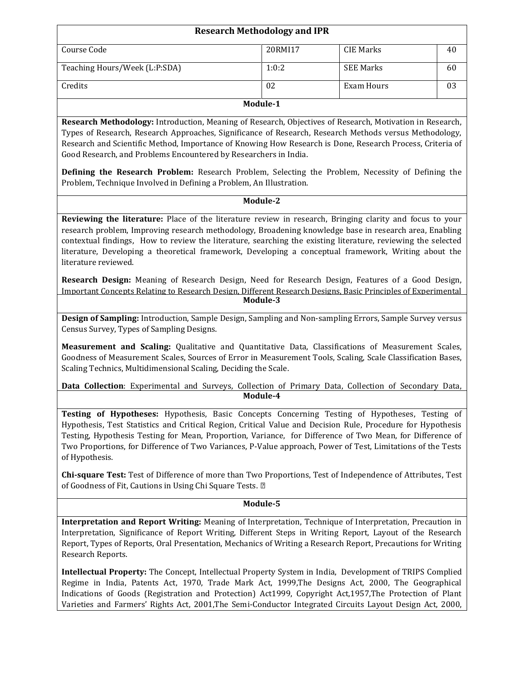|                               | <b>Research Methodology and IPR</b> |                  |    |  |  |
|-------------------------------|-------------------------------------|------------------|----|--|--|
| Course Code                   | 20RMI17                             | CIE Marks        | 40 |  |  |
| Teaching Hours/Week (L:P:SDA) | 1:0:2                               | <b>SEE Marks</b> | 60 |  |  |
| Credits                       | 02                                  | Exam Hours       | 03 |  |  |
| Module-1                      |                                     |                  |    |  |  |

**Research Methodology:** Introduction, Meaning of Research, Objectives of Research, Motivation in Research, Types of Research, Research Approaches, Significance of Research, Research Methods versus Methodology, Research and Scientific Method, Importance of Knowing How Research is Done, Research Process, Criteria of Good Research, and Problems Encountered by Researchers in India.

**Defining the Research Problem:** Research Problem, Selecting the Problem, Necessity of Defining the Problem, Technique Involved in Defining a Problem, An Illustration.

#### **Module-2**

**Reviewing the literature:** Place of the literature review in research, Bringing clarity and focus to your research problem, Improving research methodology, Broadening knowledge base in research area, Enabling contextual findings, How to review the literature, searching the existing literature, reviewing the selected literature, Developing a theoretical framework, Developing a conceptual framework, Writing about the literature reviewed.

**Research Design:** Meaning of Research Design, Need for Research Design, Features of a Good Design, Important Concepts Relating to Research Design, Different Research Designs, Basic Principles of Experimental **Module-3**

**Design of Sampling:** Introduction, Sample Design, Sampling and Non-sampling Errors, Sample Survey versus Census Survey, Types of Sampling Designs.

**Measurement and Scaling:** Qualitative and Quantitative Data, Classifications of Measurement Scales, Goodness of Measurement Scales, Sources of Error in Measurement Tools, Scaling, Scale Classification Bases, Scaling Technics, Multidimensional Scaling, Deciding the Scale.

**Data Collection**: Experimental and Surveys, Collection of Primary Data, Collection of Secondary Data, Module-4

**Testing of Hypotheses:** Hypothesis, Basic Concepts Concerning Testing of Hypotheses, Testing of Hypothesis, Test Statistics and Critical Region, Critical Value and Decision Rule, Procedure for Hypothesis Testing, Hypothesis Testing for Mean, Proportion, Variance, for Difference of Two Mean, for Difference of Two Proportions, for Difference of Two Variances, P-Value approach, Power of Test, Limitations of the Tests of Hypothesis.

**Chi-square Test:** Test of Difference of more than Two Proportions, Test of Independence of Attributes, Test of Goodness of Fit, Cautions in Using Chi Square Tests. *∎*

## **Module-5**

**Interpretation and Report Writing:** Meaning of Interpretation, Technique of Interpretation, Precaution in Interpretation, Significance of Report Writing, Different Steps in Writing Report, Layout of the Research Report, Types of Reports, Oral Presentation, Mechanics of Writing a Research Report, Precautions for Writing Research Reports.

**Intellectual Property:** The Concept, Intellectual Property System in India, Development of TRIPS Complied Regime in India, Patents Act, 1970, Trade Mark Act, 1999,The Designs Act, 2000, The Geographical Indications of Goods (Registration and Protection) Act1999, Copyright Act,1957,The Protection of Plant Varieties and Farmers' Rights Act, 2001,The Semi-Conductor Integrated Circuits Layout Design Act, 2000,